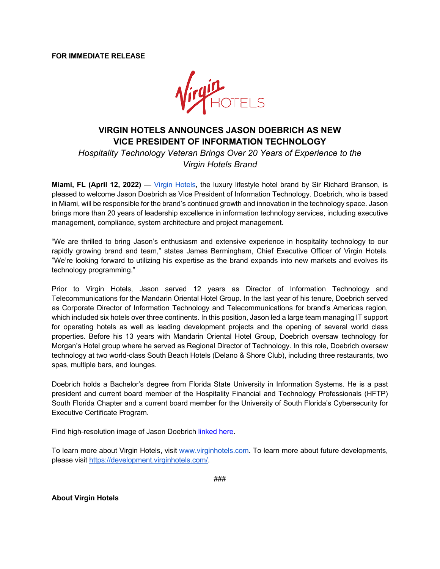**FOR IMMEDIATE RELEASE**



## **VIRGIN HOTELS ANNOUNCES JASON DOEBRICH AS NEW VICE PRESIDENT OF INFORMATION TECHNOLOGY**

*Hospitality Technology Veteran Brings Over 20 Years of Experience to the Virgin Hotels Brand*

**Miami, FL (April 12, 2022)** — Virgin Hotels, the luxury lifestyle hotel brand by Sir Richard Branson, is pleased to welcome Jason Doebrich as Vice President of Information Technology. Doebrich, who is based in Miami, will be responsible for the brand's continued growth and innovation in the technology space. Jason brings more than 20 years of leadership excellence in information technology services, including executive management, compliance, system architecture and project management.

"We are thrilled to bring Jason's enthusiasm and extensive experience in hospitality technology to our rapidly growing brand and team," states James Bermingham, Chief Executive Officer of Virgin Hotels. "We're looking forward to utilizing his expertise as the brand expands into new markets and evolves its technology programming."

Prior to Virgin Hotels, Jason served 12 years as Director of Information Technology and Telecommunications for the Mandarin Oriental Hotel Group. In the last year of his tenure, Doebrich served as Corporate Director of Information Technology and Telecommunications for brand's Americas region, which included six hotels over three continents. In this position, Jason led a large team managing IT support for operating hotels as well as leading development projects and the opening of several world class properties. Before his 13 years with Mandarin Oriental Hotel Group, Doebrich oversaw technology for Morgan's Hotel group where he served as Regional Director of Technology. In this role, Doebrich oversaw technology at two world-class South Beach Hotels (Delano & Shore Club), including three restaurants, two spas, multiple bars, and lounges.

Doebrich holds a Bachelor's degree from Florida State University in Information Systems. He is a past president and current board member of the Hospitality Financial and Technology Professionals (HFTP) South Florida Chapter and a current board member for the University of South Florida's Cybersecurity for Executive Certificate Program.

Find high-resolution image of Jason Doebrich linked here.

To learn more about Virgin Hotels, visit www.virginhotels.com. To learn more about future developments, please visit https://development.virginhotels.com/.

###

**About Virgin Hotels**